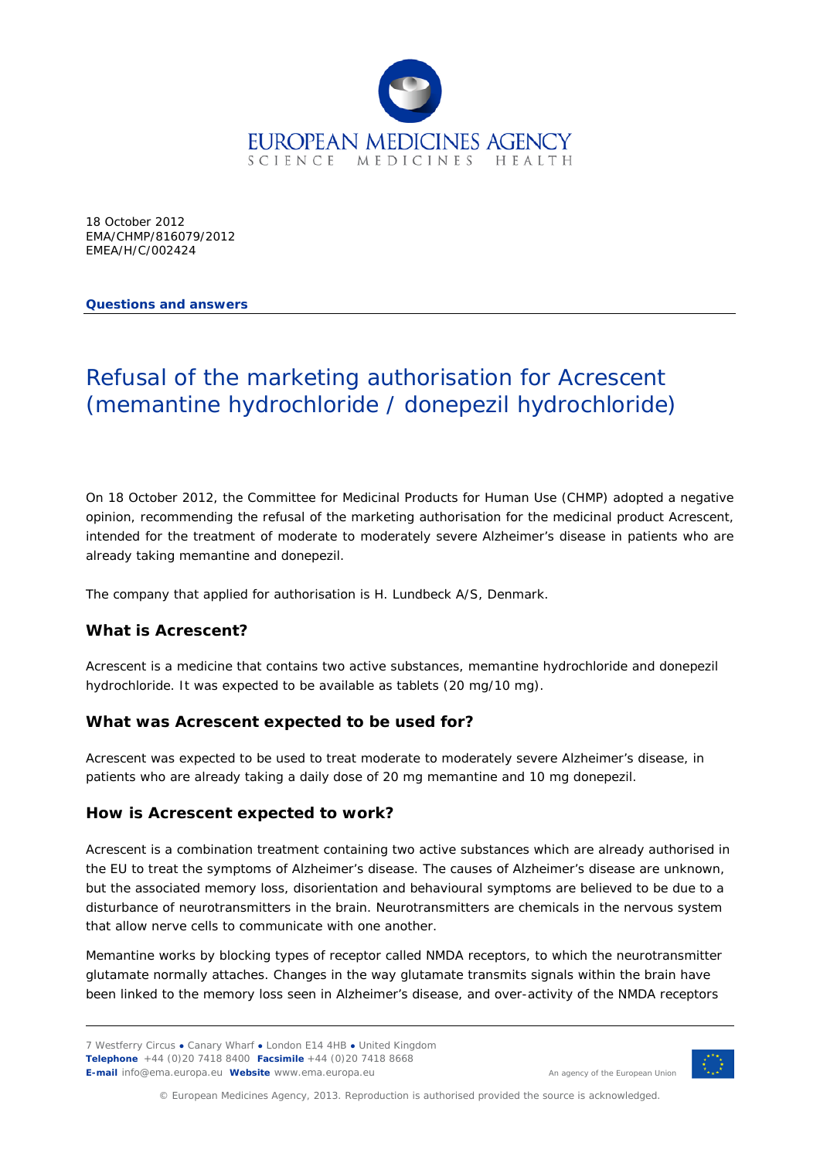

18 October 2012 EMA/CHMP/816079/2012 EMEA/H/C/002424

**Questions and answers**

# Refusal of the marketing authorisation for Acrescent (memantine hydrochloride / donepezil hydrochloride)

On 18 October 2012, the Committee for Medicinal Products for Human Use (CHMP) adopted a negative opinion, recommending the refusal of the marketing authorisation for the medicinal product Acrescent, intended for the treatment of moderate to moderately severe Alzheimer's disease in patients who are already taking memantine and donepezil.

The company that applied for authorisation is H. Lundbeck A/S, Denmark.

### **What is Acrescent?**

Acrescent is a medicine that contains two active substances, memantine hydrochloride and donepezil hydrochloride. It was expected to be available as tablets (20 mg/10 mg).

### **What was Acrescent expected to be used for?**

Acrescent was expected to be used to treat moderate to moderately severe Alzheimer's disease, in patients who are already taking a daily dose of 20 mg memantine and 10 mg donepezil.

### **How is Acrescent expected to work?**

Acrescent is a combination treatment containing two active substances which are already authorised in the EU to treat the symptoms of Alzheimer's disease. The causes of Alzheimer's disease are unknown, but the associated memory loss, disorientation and behavioural symptoms are believed to be due to a disturbance of neurotransmitters in the brain. Neurotransmitters are chemicals in the nervous system that allow nerve cells to communicate with one another.

Memantine works by blocking types of receptor called NMDA receptors, to which the neurotransmitter glutamate normally attaches. Changes in the way glutamate transmits signals within the brain have been linked to the memory loss seen in Alzheimer's disease, and over-activity of the NMDA receptors



An agency of the European Union

© European Medicines Agency, 2013. Reproduction is authorised provided the source is acknowledged.

<sup>7</sup> Westferry Circus **●** Canary Wharf **●** London E14 4HB **●** United Kingdom **Telephone** +44 (0)20 7418 8400 **Facsimile** +44 (0)20 7418 8668 **E-mail** info@ema.europa.eu **Website** www.ema.europa.eu